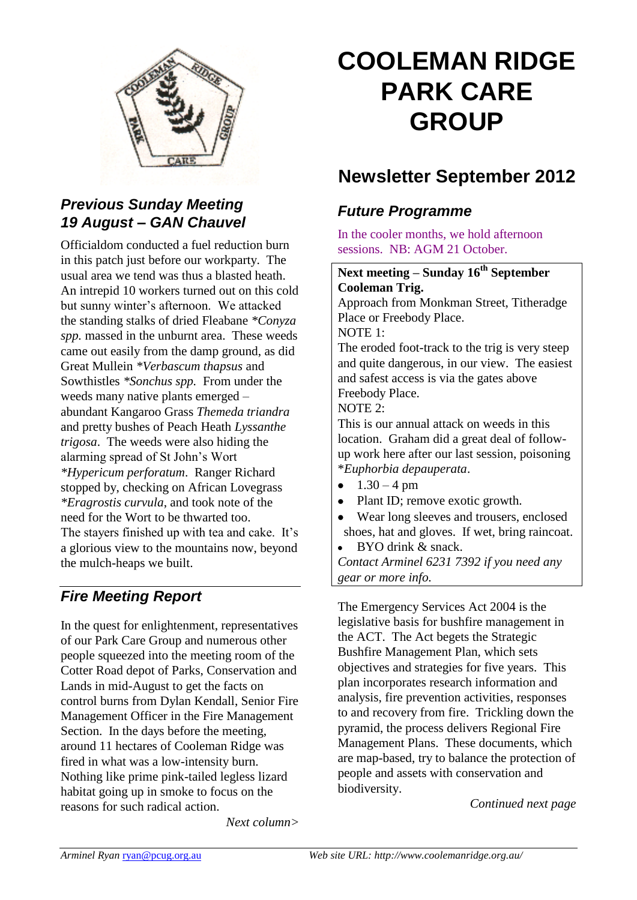

# *Previous Sunday Meeting 19 August – GAN Chauvel*

Officialdom conducted a fuel reduction burn in this patch just before our workparty. The usual area we tend was thus a blasted heath. An intrepid 10 workers turned out on this cold but sunny winter's afternoon. We attacked the standing stalks of dried Fleabane *\*Conyza spp.* massed in the unburnt area. These weeds came out easily from the damp ground, as did Great Mullein *\*Verbascum thapsus* and Sowthistles *\*Sonchus spp.* From under the weeds many native plants emerged – abundant Kangaroo Grass *Themeda triandra* and pretty bushes of Peach Heath *Lyssanthe trigosa*. The weeds were also hiding the alarming spread of St John's Wort *\*Hypericum perforatum*. Ranger Richard stopped by, checking on African Lovegrass *\*Eragrostis curvula*, and took note of the need for the Wort to be thwarted too. The stayers finished up with tea and cake. It's a glorious view to the mountains now, beyond the mulch-heaps we built.

# *Fire Meeting Report*

In the quest for enlightenment, representatives of our Park Care Group and numerous other people squeezed into the meeting room of the Cotter Road depot of Parks, Conservation and Lands in mid-August to get the facts on control burns from Dylan Kendall, Senior Fire Management Officer in the Fire Management Section. In the days before the meeting, around 11 hectares of Cooleman Ridge was fired in what was a low-intensity burn. Nothing like prime pink-tailed legless lizard habitat going up in smoke to focus on the reasons for such radical action.

*Next column>*

# **COOLEMAN RIDGE PARK CARE GROUP**

# **Newsletter September 2012**

# *Future Programme*

In the cooler months, we hold afternoon sessions. NB: AGM 21 October.

## **Next meeting – Sunday 16th September Cooleman Trig.**

Approach from Monkman Street, Titheradge Place or Freebody Place.

NOTE 1:

The eroded foot-track to the trig is very steep and quite dangerous, in our view. The easiest and safest access is via the gates above Freebody Place.

#### NOTE 2:

This is our annual attack on weeds in this location. Graham did a great deal of followup work here after our last session, poisoning \**Euphorbia depauperata*.

- $1.30 4 \text{ pm}$
- Plant ID; remove exotic growth.
- Wear long sleeves and trousers, enclosed shoes, hat and gloves. If wet, bring raincoat.
- BYO drink & snack.

*Contact Arminel 6231 7392 if you need any gear or more info.*

The Emergency Services Act 2004 is the legislative basis for bushfire management in the ACT. The Act begets the Strategic Bushfire Management Plan, which sets objectives and strategies for five years. This plan incorporates research information and analysis, fire prevention activities, responses to and recovery from fire. Trickling down the pyramid, the process delivers Regional Fire Management Plans. These documents, which are map-based, try to balance the protection of people and assets with conservation and biodiversity.

*Continued next page*